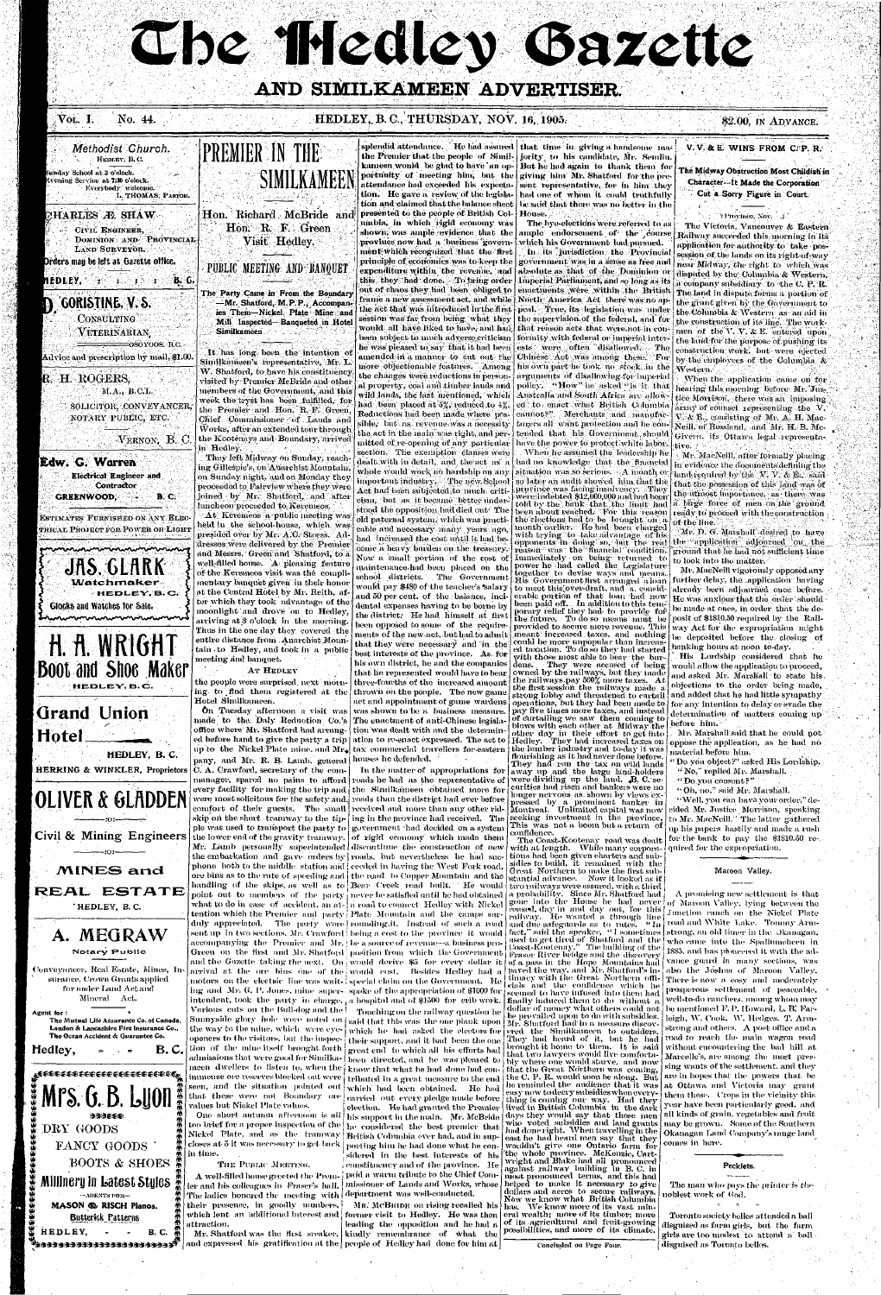# Che Hiedley Gazette

# AND SIMILKAMEEN ADVERTISER.

### Vol. I. No. 44.

## HEDLEY, B. C., THURSDAY, NOV. 16, 1905.

\$2.00, IN ADVANCE.



presented to the people of British Col- House. umbia, in which rigid economy was shown, was ample evidence that the proviuce now had a business government which recognized that the first principle of economics was to keep the expenditure within the revenue, and this they had done. To bring order out of chaos they had been obliged to the act that was introduced in the first session was far from being what they would all have liked to have, and had he was pleased to say that it had been ests were often disallowed. amended in a manner to cut out the more objectionable features. Among | the changes were reductions in personwild lands, the last mentioned, which had been placed at 5%, reduced to 4%. Reductions had been made where possible, but as revenue was a necessity the act in the main was right, and permitted of re-opening of any particular section. The exemption clauses were dealt with in detail, and the act as a whole would work no hardship on any important industry. The new School Act had been subjected to much criticism, "but as it became" better under " stood the opposition had died out: The old paternal system, which was practicable and necessary many years ago, had increased the cost until it had become a heavy burden on the treasury. Now a small portion of the cost of maintenance had been placed on the school districts. The Government

would pay \$480 of the teacher's salary and 50 per cent. of the balance, incidental expenses having to be borne by the district. He had himself at first been opposed to some of the requirements of the new act, but had to admit that they were necessary and in the best interests of the province. As for his own district, he and the companies that he represented would have to bear three-fourths of the increased amount thrown on the people. The new game.

splendid attendance. He had assured that time in giving a handsome mathe Premier that the people of Simil- jority to his candidate, Mr. Semlin. kameen wonld be glad to have an op- But he had again to thank them for portunity of meeting him, but the giving him Mr. Shatford for the preattendance had exceeded his expecta- sent representative, for in him they tion. He gave a review of the legisla- had one of whom it could truthfully tion and claimed that the balance sheet | be said that there was no better in the

The bye-elections were referred to as ample endorsement of the course which his Government had pursued. In its jurisdiction the Provincial government was in a sense as free and absolute as that of the Dominion or Imperial Parliament, and so long as its enactivents were within the British frame a new assessment act, and while | North America "Act" there was no appeal. True, its legislation was under the supervision of the federal, and for that reason acts that were not in conbeen subject to much adverse criticism formity with federal or imperial into-- The Chinese Act was among these. For his own part he took no stock in the arguments of disallowing for imperial al property, coal and timber lands and | policy. A How "he asked "is it. that Australia and South Africa are allowed to enact what British Columbia cannot?" Merchants and manufacturers all want protection and he contended that his Government should have the power to protect white labor. When he assumed the leadership he had no knowledge that the financial situation was so serious. A month or so later an audit showed him that the province was facing insolvency. They were indebted \$12,000,000 and had been told by the bank that the limit had a large force of men on the ground been about reached. For this reason the elections had to be brought on a month earlier. He had been charged with trying to take advantage of his<br>opponents in doing so, but the real<br>reason was the financial condition. Immediately on being returned to power he had called the Legislature ogether to devise ways and means. His Government first arranged aloan further delay, the application having to meet this over-diaft, and a considerable portion of that loan had now He was anxious that the order should been paid off. . In addition to this temoorary relief they had to provide for the future. To do so means must be posit of \$1810.50 required by the Railprovided to secure more revenue. This meant increased taxes, and nothing be deposited before the closing of could be more unpopular than increas ed taxation. To do so they had started vith those most able to bear the bur-

They were accused of being dens. owned by the railways, but they made the railways pay 500% more taxes. At the first session the railways made a strong lobby and threatened to curtail

# V.V. & E. WINS FROM C.P. R.

The Midway Obstruction Most Childish in Character-It Made the Corporation Cut a Sorry Figure in Court.

### "(Province, Nov. 4.).

The Victoria, Vancouver & Eastern Railway succeeded this morning in its application for authority to take possession of the lands on its right-of-way near Midway, the right to which was disputed by the Columbia & Western, a company subsidiary to the C. P. R. The land in disputa forms a portion of the grant given by the Government to the Columbia & Western as an aid in the construction of its line. The workmen of the V. V. & E. entered upon the land for the purpose of pushing its construction work. but were ejected by the employees of the Columbia & Western.

When the application came on for hearing this morning before Mr. Justice Morrison, there was an imposing array of counsel representing the  $\mathbf{\bar{v}}$ .  $N_r$  &  $E_r$  consisting of Mr. A. H. Mac-Neill, of Rossland, and Mr. H. B. Mc-Givern, its Ottawa legal representative.

Mr. MacNeill, after formally placing. in evidence the documents defining the land required by the  $N$   $V$  & E., said that the possession of this land was of the utinost importance, as there was ready to proceed with the construction of the line.

Mr. D. G. Marshall desired to have the application adjourned on the ground that he had not sufficient time to look into the matter.

Mr. MacNeill vigorously opposed any already been adjourned once before. be made at once, in order that the deway Act for the expropriation might banking hours at noon to-day.

His Lordship considered that he would allow the application to proceed, and asked Mr. Marshall to state his objections to the order being made, and added that he had little sympathy act and appointment of game wardens operations, but they had been made to for any intention to delay or evade the

On Tuesday afternoon a visit was was shown to be a business measure. pay five times more taxes, and instead determination of matters coming up made\_ to \_the\_ Daly\_ Reduction -Co.'s | The enactment of anti-Chinese legisla office where Mr. Shatford had arrang- [ tion was dealt with and the determined before hand to give the party a trip ation to re-enact expressed. The act to Hedley. They had increased taxes on up to the Nickel Plate mine, and Mr. tax commercial travellers for eastern the lumber industry and to-day it was pany, and Mr. R. B. Lamb. general houses he defended. that these were not Boundary ove earried out every pledge made before One short autumn afternoon is all his support in the main. Mr. McBride too brief for a proper inspection of the  $\vert$   $\ln$  considered - the -best-premier -that

In the matter of appropriations for manager, spared no pains to afford roads he had as the representative of were dividing up the land. B. C. seevery facility for making the trip and the Similkameen obtained more for were most solicitous for the safety and, roads than the district had ever before comfort of their guests. The small received and more than any other ridskip on the short tramway to the tip-  $\lfloor$  ing in the province had received. The ple was used to transport the party to government had decided on a system the lower end of the gravity tramway, of rigid economy which made them Mr. Lamb personally superintended discontinue the construction of new the embarkation and gave orders by roads, but nevertheless he had suc- tions had been given charters and subphone both to the middle station and (ceeded in having the West Fork road, ore bins as to the rate of speeding and the road to Copper Mountain and the handling of the skips, as well as to Bear Creek road built. He would two railways were assured, with a third point out to members of the party never be satisfied until he had obtained a probability. Since Mr. Shatford had what to do in case of accident, an at- a road to connect Hedley with Nickel tention which the Premier and party | Plate Mountain and the camps sur- railway. He wanted a through line<br>duly appreciated. The party were | rounding.it. Instead of such a road and due safeguards as to rates. "In sent up in two sections. Mr. Crawford | being a cost to the province it would | fact," said the speaker, "I sometimes accompanying the Premier and Mr. (be a source of revenue--a business pro-) Green on the first and Mr. Shatford position from which the Government Fraser River bridge and the discovery and the Gazette taking the next. On would derive \$5 for every dollar it of a pass in the Hope Mountains had arrival at the ore bins one of the would cost. Besides Hedley had a motors on the electric line was wait-{special claim on the Government. He ing and Mr. G. P. Jones, mine super-1 spoke of the appropriation of \$1000 for intendent, took the party in charge, a hospital and of \$1500 for crib work. finally induced them to do without a Various cuts on the Bull-dog and the | Touching on the railway question he Sumpyside glory hole were noted on said that this was the one plank upon  $\lfloor \frac{N}{M}\rfloor$ . Shatford had in a measure discover the way to the mine, which were eye- which he had asked the electors for openers to the visitors, but the inspec- their support, and it had been the one tion of the mine itself brought forth great end to which all his efforts had admissions that were good for Similka- [heen] directed, and the was pleased to meen dwellers to listen to, when the know that what he had done had conimmense ore reserves blocked out were tributed in a great measure to the end seen, and the situation pointed out which had been obtained. He had

> election. He had granted the Premier sidered in the best interests of his constituency and of the province. He

> MR. MCBRIDE on rising recalled his leading the opposition and he-had  $\boldsymbol{u}_1$

blows with each other at Midway the other day in their effort to get into flourishing as it had never done before. They had run the tax on wild lands away up and the large land-holders curities had risen and bankers were no longer nervous as shown by views expressed by a prominent banker in<br>Montreal. Unlimited-capital-was-now sceking investment in the province, This was not a boom but a return of confidence.

The Coast-Kootenay road was dealt with at length. While many corporasidies to build, it remained with the Great Northern to make the first substantial advance. Now it looked as if gone into the House he had never ceased, day in and day out, for this used to get tired of Shatford and the Coast-Kootenay." The building of the paved the way, and Mr. Shatford's in timacy with the Great-Northern officials and the confidence which he [seemed to have infused into them had dollar of money what others could not be prevailed upon to do with subsidies. ered the Similkameen to outsiders, They had heard of it, but he had brought it home to them. It is said that two lawyers would live comfortably where one would starve, and now that the Great Northern was coming, the C. P. R. would soon be along. But he reminded the audience that it was easy now to decry subsidies when everything is coming our way. Had they<br>|lived in British Columbia in the dark days they would say that those men who voted subsidies and land grants had done right. When travelling in the east he had heard men say that they wouldn't give one Ontario farm for the whole province. McKenzie, Cartwright and Blake had all pronounced

against railway building in B.C. in most pronounced terms," and this had helped to make it necessary to give dollars and acres to secure railways. Now we know what British Columbia has. We know more of its vast mineral wealth; more of its timber; more of its agricultural and fruit-growing possibilities, and more of its climate.

Concluded on Page Four.

before him.

Mr. Marshall said that he could not oppose the application, as he had no material before him.

'Do you object?" asked His Lordship. "No," replied Mr. Marshall. "Do you consent?"

"Oh, no," said Mr. Marshall.

"Well, you can have your order," decided Mr. Justice Morrison, speaking to Mr. MacNeill." The latter gathered up his papers' hastily and made a rush for the bank to pay the \$1810.50 required for the expropriation.

### Maroon Valley.

A promising new settlement is that of Maroon Valley, lying between the Junction ranch on the Nickel Plate road and White Lake. Tommy Armstrong, an old timer in the Okanagan, who came into the Spallumcheen in 1885, and has pioneered it with the advance guard in many sections, was also the Joshua of Marcon Valley. There is now a cosy and moderately prosperous settlement of peaceable, well-to-do ranchers, among whom may be mentioned F.P. Howard, L.B. Farleigh, W. Cook. W. Hedges. T. Armstrong and others.  $\,$  A post office and a road to reach the main wagon road without encountering the bad hill at Marcelle's, are among the most pressing wants of the settlement, and they are in hopes that the powers that be at Ottawa and Victoria may grant them these. Crops in the vicinity this year have been particularly good, and all kinds of grain, vegetables and fruit may be grown. Some of the Southern Okanagan Land Company's mige land comes in here.

### Pecklets.

The man who pays the printer is the ioblest work of God.

Toronto society belles attended a ball disguised as farm girls,but—the -farm girls are too modest to attend a ball disguised as Toronto belles.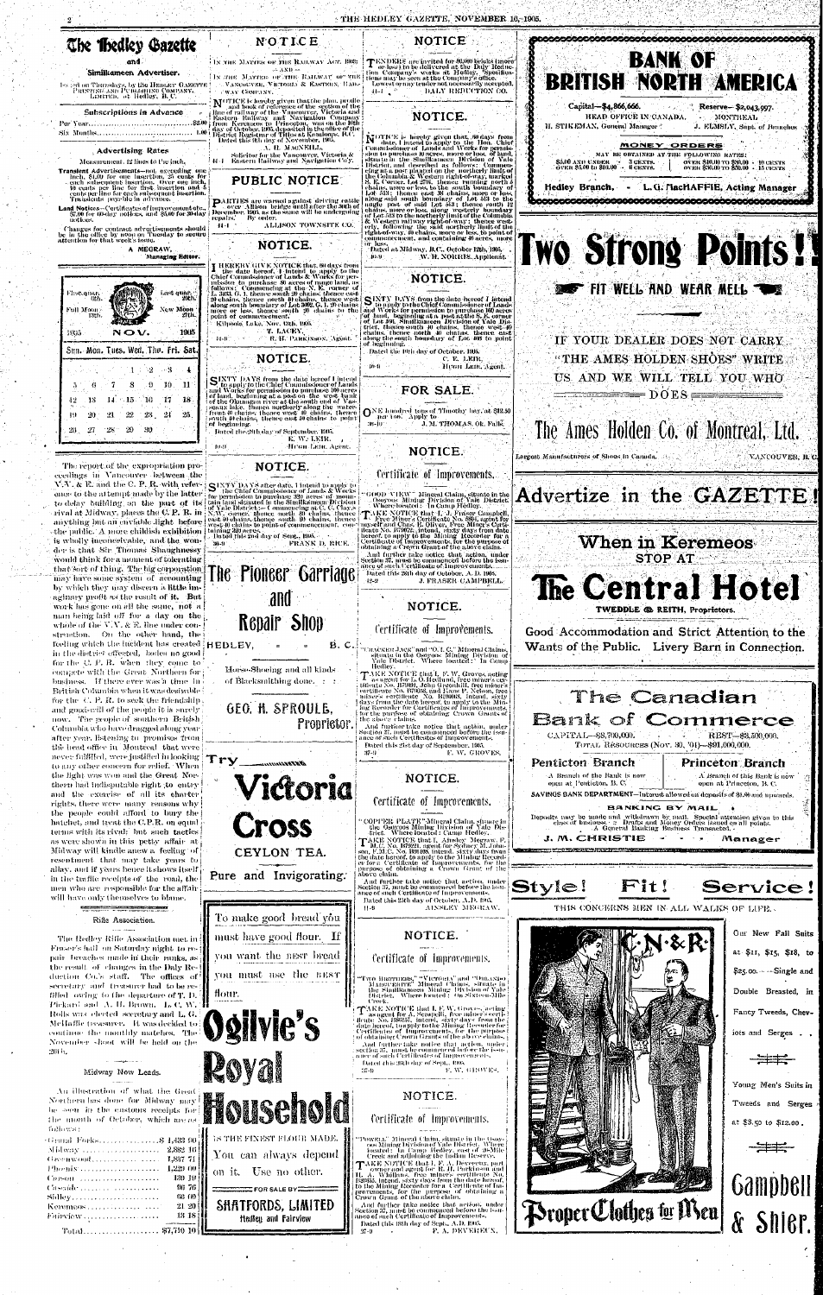**NOTICE** 

TENDERS are invited for 50,000 briefs (more or less) to be delivered at the Daly Reduction Company's works at Hedley. Specifications may be seen at the Company's office.

Lowest or any tender not necessarily accepted.

NOTICE.

DALY REDUCTION CO.



### Similkameen Advertiser.

Iss ad on Thursdays, by the HEDLEY GAZETTE PRINTING AND PUBLISHING COMPANY.<br>EDITTED, at Hedley, B. C.

### Subscriptions in Advance

Per Year................................... 

### **Advertising Rates**

Measurement, 12 lines to the inch.

- **Translent Advertisements—not** oxceeding one inch, \$1.00 for one insertion, 25 cents for seech subsequent insertion. Over one inch, 10 cents per line for first, insertion and 5 cents per line for each subsequent insertion.
- Land Notices--Certificates of improvement etc.,<br>\$7,00 for 60-day notices, and \$5.00 for 30-day notices.

Changes for contract advertisements should be in the office by noon on Tuesday to secure<br>attention for that week's issue.

N O.V.

Sun. Mon. Tues. Wed. Thu. Fri. Sat

8

 $\sim 15$  .

 $22$ 

 $_{20}$ 

The report of the expropriation pro-

ecedings in Vancouver between the

 $V$ ,  $V$ ,  $\&$  E, and the C, P, R, with refer-.

ence to the attempt made by the latter

to delay building on the part of its

rival at Midway, places the C.P. R. in

-7

- 14

21.

- 28

-6

-13

-20

 $1 \geq 2$  $\sim 8$ 

 $\mathbf{9}$ 

 $-16$ 

-23 -

-30.

 $10.$ 

 $17$ 

 $-24$ 

A MEGRAW, Managing Editor.

Last quar.<br>20th.

ew Moon

1905

 $\mathbf{H}$ 

- 18

 $25$ 



IN THE MATTER OF THE RAILWAY ACT, 1903:  $\div$   $AND -$ [18] Лин. МАТТЕК ОР ЛИН. КАНАУАТ ОРГАНЕ]

VANCOUVER, VICTORIA & EASTERN, RAIL-WAY COMPANY,

MoTICE is hereby given that the plan, profile<br>Inc and book of reference of the section of the<br>line of railway of the Vancouver, Victoria and<br>leastern Railway and Navigation Company<br>from Keremeas to Princeton, was on the 10

A. H. MACNEILL. - Solicitor for the Vancouver, Victoria &<br>- Eastern Hailway and Navigation Co'y,  $11 - 1$ 

# **PUBLIC NOTICE:**

PAIFTIES are warned against driving cattle<br>December Allison bridge until after the 30th of<br>December, 1905, as the same will be undergoing epairs.'

44 - 1

# NOTICE.

I HEREBY GIVE NOTICE that, 60 days from<br>the date hereof, 1 intend to apply to the<br>Chief Commissioner of Lands & Works for per-<br>mission to purchase 50 acres of range land, as<br>fullows: Communicing at the N.E. commer of<br>L. 34 Kilpoola Lake, Nov. 13th, 1905.

T. LACEY,

SINTY DAYS from the date hereof I intend<br>to apply to the Chief Commissioner of Lands<br>and Works for permission to purchase 160 acres<br>of land, beginning at a post on the west bank<br>of the Okamagan river at the south end of Ya of beginning. Inted the 28th day of September, 1995.

10:46

# NOTICE.



H. STIKEMAN, General Manager<sup>\*</sup> J. ELMSLY, Supt. of Branches <u>MONEY ORDERS</u> MAY BE OBTAINED AT THE FOLLOWING RATES: SÁM) AND UNDER<br>Över \$5,00 to \$10,00 --. OVER \$10.00 TO \$30.00 + 10 CENTS<br>OVER \$30.00 TO \$50.00 + 15 CENTS 3 CENTS.<br>6 CENTS. L.G. MacHAFFIE, Acting Manager Hedley Branch, -Two Strong Points! **FIT WEEL AND WEAR MELL :** IF YOUR DEALER DOES NOT CARRY "THE AMES HOLDEN SHOES" WRITE

**BANK OF** 

Reserve- \$2,043,997.

MONTREAL



C. E. LEIR, Henri Leni, Agent.

ONE hundred tons of Timothy hay, at \$12.50 36-101 J. M. THOMAS, Ok. Falls.

# NOTICE.

### Certificate of Improvements.

300D : VIEW \* Mineral Claim, situate in the<br>...Osoyoos: Mining: Division of Vule District.<br>..Where located : ...In Camp Hedley.

TAKE NOTICE that  $T_i$  J. Fraser Campbell,<br>TAKE NOTICE that  $T_i$  J. Fraser Campbell,<br>myself and Chas. E. Oiriver, Free Miner's Certi-<br>fleate No. B79072, intend, sixty duys from date<br>hereof: to apply to the Mining Recorder

R. H. PARKINSON, Agent.  $44 - 9$ 

# NOTICE.

E. W. LEIR. Afron Lene, Agent.

By order. ALLISON TOWNSITE CO.

अन्य इ.

)f beginning

 $\mathbf{n}$ - $\mathbf{n}$ 

NOTICE is hereby given that, 50 days from<br>
Commissioner of Lands apply to the Hon. Chief<br>
Commissioner of Lands and Works for permis-<br>
sion to purchase all neres, unce or less, of land,<br>
dittate in the Similkannen Division

Dated at Midway, B.C., October 12th, 1905. W. H. NORRIS, Applicant  $[0 - 9]$ 

SINTY DAYS from the date bereof I intend

# NOTICE.

Dated the 10th day of October, 1905.

See the chief Commissioner of Lands<br>and Works for permission to purchase 160 acres<br>for hand, beginning at a post at the S. E. corner<br>of hand, beginning at a post at the S. E. corner<br>of Lot 199, Similkameen Division of Yal

Largest Manufacturers of Shoos in Canada. 14,

**BRITISH NORTH** 

НЕАП ОГРІСЕ IN САНАРА.

Capital-\$4,866,666.

US AND WE WILL TELL YOU WHO  $= DOES =$ 

# The Ames Holden Co. of Montreal, Ltd.

Advertize in the GAZETTE!

VANCOUVER, B. C.

# **When in Keremeos**

**STOP AT** The Central Hotel

TWEDDLE @ REITH, Proprietors.

Good Accommodation and Strict Attention to the Wants of the Public. Livery Barn in Connection.

# The Canadian

First quan<br>6th

Full Moon:<br>13th

1995.

42

49

26.  $-27$ 

## and



The Hedley Rifle Association met in Fraser's hall on Saturday night to repair breaches made in their ranks, as the result of changes in the Daly Reduction Co.'s staff. The offices of secretary and treasurer had to be refilled owing to the departure of T. D. Pickard and A. H. Brown. L. C. W. 'H Rolls was elected secretary and L G. McHaffie treasurer. It was decided to continue the monthly matches. The November shoot will be held on the 2604.

Rifle Association.

### Midway Now Leads.

| An illustration of what the Great<br>Northern has done for Midway may! |
|------------------------------------------------------------------------|
| he soon in the customs receipts for [                                  |
| the month of October, which angus,                                     |
| fo)lows :                                                              |
| Grand Forks\$ 1,433-90]                                                |
| Midway   2,882 16                                                      |
| Greenwood<br>1,837 71                                                  |
| Phonix<br>1,229.00                                                     |
| - 130-19 j<br>Corson conservation and                                  |
| - 96-76<br>Ascalde Arriva Construction                                 |
| - 66 60 F                                                              |
| 21,20                                                                  |
| - 13 18                                                                |
|                                                                        |



iots and Serges . , Young Men's Suits in

Tweeds and Serges at \$3.50 to \$12.00.